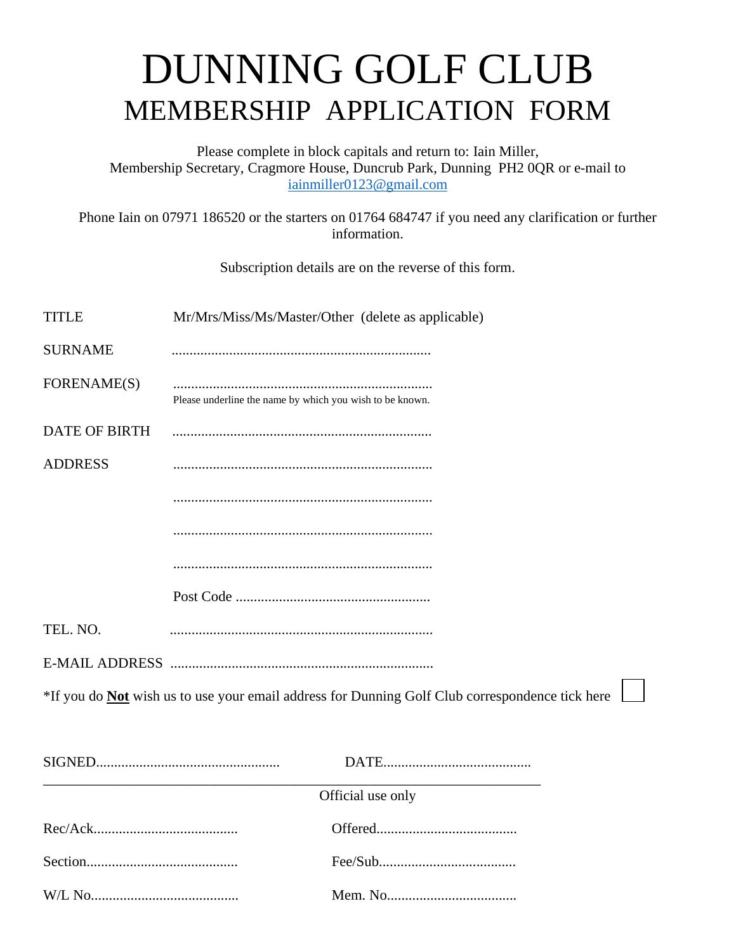## DUNNING GOLF CLUB MEMBERSHIP APPLICATION FORM

Please complete in block capitals and return to: Iain Miller, Membership Secretary, Cragmore House, Duncrub Park, Dunning PH2 0QR or e-mail to [iainmiller0123@gmail.com](mailto:iainmiller0123@gmail.com)

Phone Iain on 07971 186520 or the starters on 01764 684747 if you need any clarification or further information.

Subscription details are on the reverse of this form.

TITLE Mr/Mrs/Miss/Ms/Master/Other (delete as applicable)

| <b>SURNAME</b>                                                                                         |                                                          |  |  |
|--------------------------------------------------------------------------------------------------------|----------------------------------------------------------|--|--|
|                                                                                                        |                                                          |  |  |
| FORENAME(S)                                                                                            | Please underline the name by which you wish to be known. |  |  |
| <b>DATE OF BIRTH</b>                                                                                   |                                                          |  |  |
| <b>ADDRESS</b>                                                                                         |                                                          |  |  |
|                                                                                                        |                                                          |  |  |
|                                                                                                        |                                                          |  |  |
|                                                                                                        |                                                          |  |  |
|                                                                                                        |                                                          |  |  |
| TEL. NO.                                                                                               |                                                          |  |  |
|                                                                                                        |                                                          |  |  |
| *If you do <b>Not</b> wish us to use your email address for Dunning Golf Club correspondence tick here |                                                          |  |  |
|                                                                                                        |                                                          |  |  |
|                                                                                                        |                                                          |  |  |
| Official use only                                                                                      |                                                          |  |  |
|                                                                                                        |                                                          |  |  |
|                                                                                                        |                                                          |  |  |
|                                                                                                        |                                                          |  |  |